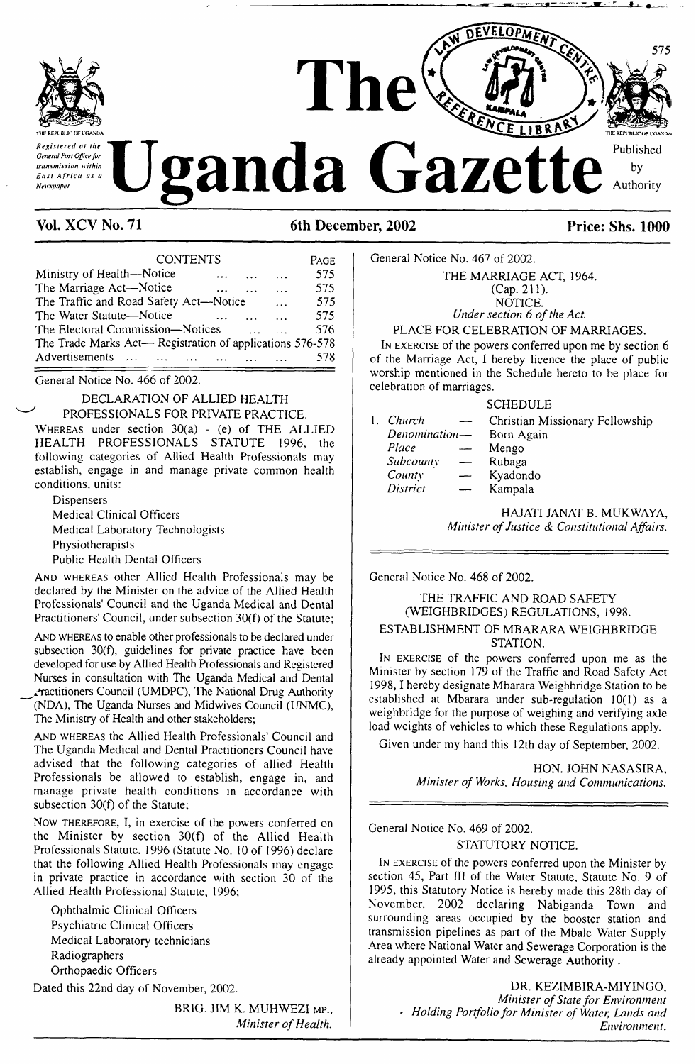

**Vol. XCV No. 71 6th December, 2002 Price: Shs. 1000**

| <b>CONTENTS</b>                                           | PAGE |
|-----------------------------------------------------------|------|
| Ministry of Health-Notice<br>$\cdots$                     | 575  |
| The Marriage Act-Notice<br>$\ddotsc$<br>$\ddotsc$         | 575  |
| The Traffic and Road Safety Act-Notice<br>$\cdots$        | 575  |
| The Water Statute—Notice                                  | 575  |
| The Electoral Commission-Notices                          | 576  |
| The Trade Marks Act- Registration of applications 576-578 |      |
| Advertisements<br>المنتقل والمتفاد المتعاد المتفاد        | 578  |

General Notice No. 466 of 2002.

### DECLARATION OF ALLIED HEALTH PROFESSIONALS FOR PRIVATE PRACTICE.

Whereas under section 30(a) - (e) of THE ALLIED HEALTH PROFESSIONALS STATUTE 1996, the following categories of Allied Health Professionals may establish, engage in and manage private common health conditions, units:

Dispensers Medical Clinical Officers Medical Laboratory Technologists Physiotherapists Public Health Dental Officers

And whereas other Allied Health Professionals may be declared by the Minister on the advice of the Allied Health Professionals' Council and the Uganda Medical and Dental Practitioners' Council, under subsection 30(f) of the Statute;

And whereas to enable other professionals to be declared under subsection 30(f), guidelines for private practice have been developed for use by Allied Health Professionals and Registered Nurses in consultation with The Uganda Medical and Dental Practitioners Council (UMDPC), The National Drug Authority (NDA), The Uganda Nurses and Midwives Council (UNMC),

The Ministry of Health and other stakeholders;

And whereas the Allied Health Professionals' Council and The Uganda Medical and Dental Practitioners Council have advised that the following categories of allied Health Professionals be allowed to establish, engage in, and manage private health conditions in accordance with subsection 30(f) of the Statute;

Now therefore, I, in exercise of the powers conferred on the Minister by section 30(f) of the Allied Health Professionals Statute, 1996 (Statute No. 10 of 1996) declare that the following Allied Health Professionals may engage in private practice in accordance with section 30 of the Allied Health Professional Statute, 1996;

Ophthalmic Clinical Officers Psychiatric Clinical Officers Medical Laboratory technicians Radiographers Orthopaedic Officers

Dated this 22nd day of November, 2002.

BRIG. JIM K. MUHWEZI MP., *Minister ofHealth.*

General Notice No. 467 of 2002. THE MARRIAGE ACT, 1964.

(Cap. 211). NOTICE. *Under section 6 ofthe Act.*

PLACE FOR CELEBRATION OF MARRIAGES.

I<sup>n</sup> exercise of the powers conferred upon me by section 6 of the Marriage Act, I hereby licence the place of public worship mentioned in the Schedule hereto to be place for celebration of marriages.

|              |               | <b>SCHEDULE</b>                 |
|--------------|---------------|---------------------------------|
| $\mathbf{L}$ | Church        | Christian Missionary Fellowship |
|              | Denomination- | Born Again                      |
|              | Place         | Mengo                           |
|              | Subcounty     | Rubaga                          |
|              | County        | Kyadondo                        |
|              | District      | Kampala                         |
|              |               |                                 |

HAJATI JANAT B. MUKWAYA, *Minister ofJustice & Constitutional Affairs.*

General Notice No. 468 of 2002.

### THE TRAFFIC AND ROAD SAFETY (WEIGHBRIDGES) REGULATIONS, 1998. ESTABLISHMENT OF MBARARA WEIGHBRIDGE **STATION**

I<sup>n</sup> exercise of the powers conferred upon me as the Minister by section 179 of the Traffic and Road Safety Act 1998,<sup>1</sup> hereby designate Mbarara Weighbridge Station to be established at Mbarara under sub-regulation 10(1) as a weighbridge for the purpose of weighing and verifying axle load weights of vehicles to which these Regulations apply.

Given under my hand this 12th day of September, 2002.

HON. JOHN NASASIRA, *Minister of Works, Housing and Communications.*

General Notice No. 469 of 2002.

STATUTORY NOTICE.

I<sup>n</sup> exercise of the powers conferred upon the Minister by section 45, Part III of the Water Statute, Statute No. 9 of 1995, this Statutory Notice is hereby made this 28th day of November, 2002 declaring Nabiganda Town and surrounding areas occupied by the booster station and transmission pipelines as part of the Mbale Water Supply Area where National Water and Sewerage Corporation is the already appointed Water and Sewerage Authority .

> DR. KEZIMBIRA-MIYINGO, *Minister ofState for Environment • Holding Portfoliofor Minister of Water, Lands and Environment.*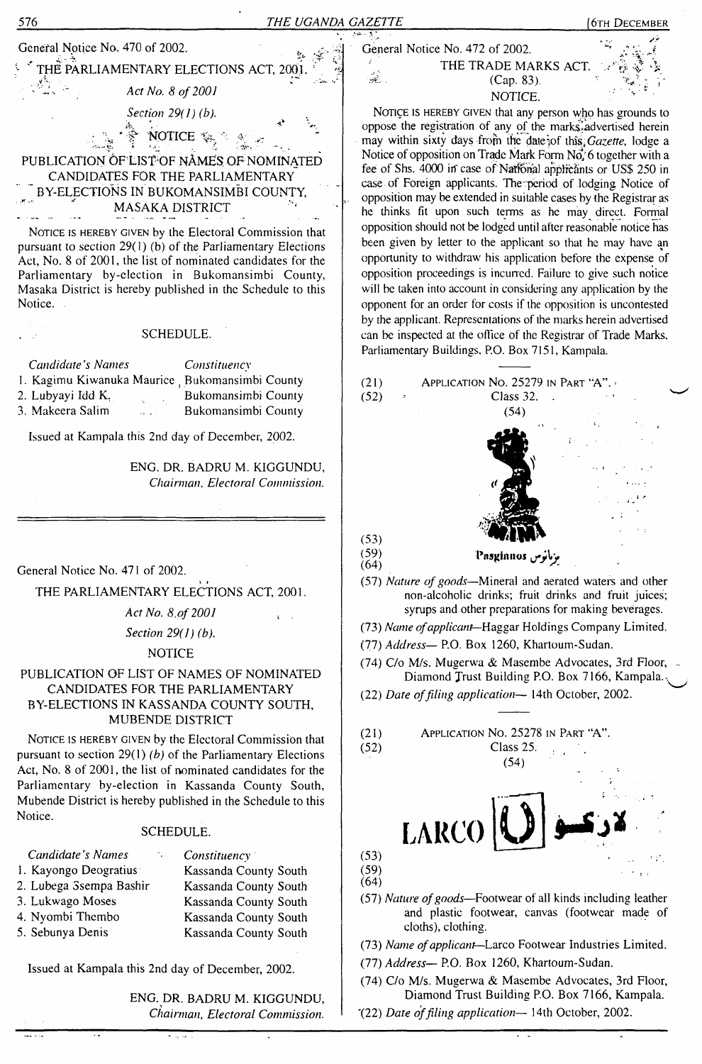| 576                                                                                                                                                                                                                                                                                                                                                                                                                                                                         |                                                                                                                                           |                                                                                                                                                                                                                                                                                                                                                                                                                                                                                                                                                                                                                                                                                                                                                                                                                                                                                                        | [6тн Dесемвек |
|-----------------------------------------------------------------------------------------------------------------------------------------------------------------------------------------------------------------------------------------------------------------------------------------------------------------------------------------------------------------------------------------------------------------------------------------------------------------------------|-------------------------------------------------------------------------------------------------------------------------------------------|--------------------------------------------------------------------------------------------------------------------------------------------------------------------------------------------------------------------------------------------------------------------------------------------------------------------------------------------------------------------------------------------------------------------------------------------------------------------------------------------------------------------------------------------------------------------------------------------------------------------------------------------------------------------------------------------------------------------------------------------------------------------------------------------------------------------------------------------------------------------------------------------------------|---------------|
| General Notice No. 470 of 2002.<br>THE PARLIAMENTARY ELECTIONS ACT, 2001<br>Act No. 8 of 2001<br>Section 29(1) (b).<br>NOTICE *&;.<br>PUBLICATION OF LIST OF NAMES OF NOMINATED<br>CANDIDATES FOR THE PARLIAMENTARY<br>BY-ELECTIONS IN BUKOMANSIMBI COUNTY,<br>MASAKA DISTRICT<br>NOTICE IS HEREBY GIVEN by the Electoral Commission that<br>pursuant to section $29(1)$ (b) of the Parliamentary Elections<br>Act, No. 8 of 2001, the list of nominated candidates for the | THE UGANDA GAZETTE                                                                                                                        | General Notice No. 472 of 2002.<br>THE TRADE MARKS ACT.<br>ali<br>Ali<br>(Cap. 83).<br>NOTICE.<br>NOTICE IS HEREBY GIVEN that any person who has grounds to<br>oppose the registration of any of the marks, advertised herein<br>may within sixty days from the date of this Gazette, lodge a<br>Notice of opposition on Trade Mark Form No, 6 together with a<br>fee of Shs. 4000 in case of National applicants or US\$ 250 in<br>case of Foreign applicants. The period of lodging Notice of<br>opposition may be extended in suitable cases by the Registrar as<br>he thinks fit upon such terms as he may direct. Formal<br>opposition should not be lodged until after reasonable notice has<br>been given by letter to the applicant so that he may have an<br>opportunity to withdraw his application before the expense of<br>opposition proceedings is incurred. Failure to give such notice |               |
| Parliamentary by-election in Bukomansimbi County,<br>Masaka District is hereby published in the Schedule to this<br>Notice.<br>SCHEDULE.                                                                                                                                                                                                                                                                                                                                    |                                                                                                                                           | will be taken into account in considering any application by the<br>opponent for an order for costs if the opposition is uncontested<br>by the applicant. Representations of the marks herein advertised<br>can be inspected at the office of the Registrar of Trade Marks,                                                                                                                                                                                                                                                                                                                                                                                                                                                                                                                                                                                                                            |               |
| Candidate's Names<br>1. Kagimu Kiwanuka Maurice, Bukomansimbi County<br>2. Lubyayi Idd K.<br>3. Makeera Salim                                                                                                                                                                                                                                                                                                                                                               | Constituency<br>Bukomansimbi County<br>Bukomansimbi County                                                                                | Parliamentary Buildings, P.O. Box 7151, Kampala.<br>(21)<br>APPLICATION No. 25279 IN PART "A".<br>Class 32.<br>(52)<br>(54)                                                                                                                                                                                                                                                                                                                                                                                                                                                                                                                                                                                                                                                                                                                                                                            |               |
| Issued at Kampala this 2nd day of December, 2002.                                                                                                                                                                                                                                                                                                                                                                                                                           | ENG. DR. BADRU M. KIGGUNDU,<br>Chairman, Electoral Commission.                                                                            |                                                                                                                                                                                                                                                                                                                                                                                                                                                                                                                                                                                                                                                                                                                                                                                                                                                                                                        |               |
| General Notice No. 471 of 2002.<br>THE PARLIAMENTARY ELECTIONS ACT, 2001.                                                                                                                                                                                                                                                                                                                                                                                                   |                                                                                                                                           | (53)<br>(59)<br>ىزىانوس Pasgianos<br>(64)<br>(57) Nature of goods--Mineral and aerated waters and other<br>non-alcoholic drinks; fruit drinks and fruit juices;                                                                                                                                                                                                                                                                                                                                                                                                                                                                                                                                                                                                                                                                                                                                        |               |
| Act No. 8, of 2001<br>Section 29(1) (b).<br><b>NOTICE</b><br>PUBLICATION OF LIST OF NAMES OF NOMINATED<br>CANDIDATES FOR THE PARLIAMENTARY                                                                                                                                                                                                                                                                                                                                  |                                                                                                                                           | syrups and other preparations for making beverages.<br>(73) Name of applicant-Haggar Holdings Company Limited.<br>(77) Address- P.O. Box 1260, Khartoum-Sudan.<br>(74) C/o M/s. Mugerwa & Masembe Advocates, 3rd Floor, -<br>Diamond Trust Building P.O. Box 7166, Kampala.                                                                                                                                                                                                                                                                                                                                                                                                                                                                                                                                                                                                                            |               |
| BY-ELECTIONS IN KASSANDA COUNTY SOUTH,<br>MUBENDE DISTRICT<br>NOTICE IS HEREBY GIVEN by the Electoral Commission that<br>pursuant to section $29(1)$ (b) of the Parliamentary Elections<br>Act, No. 8 of 2001, the list of nominated candidates for the<br>Parliamentary by-election in Kassanda County South,<br>Mubende District is hereby published in the Schedule to this                                                                                              |                                                                                                                                           | (22) Date of filing application-- 14th October, 2002.<br>APPLICATION NO. 25278 IN PART "A".<br>(21)<br>(52)<br>Class 25.<br>(54)                                                                                                                                                                                                                                                                                                                                                                                                                                                                                                                                                                                                                                                                                                                                                                       |               |
| Notice.<br>SCHEDULE.                                                                                                                                                                                                                                                                                                                                                                                                                                                        |                                                                                                                                           | LARCO <sup>[</sup>                                                                                                                                                                                                                                                                                                                                                                                                                                                                                                                                                                                                                                                                                                                                                                                                                                                                                     |               |
| Candidate's Names<br>1. Kayongo Deogratius<br>2. Lubega Ssempa Bashir<br>3. Lukwago Moses<br>4. Nyombi Thembo<br>5. Sebunya Denis                                                                                                                                                                                                                                                                                                                                           | Constituency<br>Kassanda County South<br>Kassanda County South<br>Kassanda County South<br>Kassanda County South<br>Kassanda County South | (53)<br>(59)<br>(64)<br>(57) Nature of goods—Footwear of all kinds including leather<br>and plastic footwear, canvas (footwear made of<br>cloths), clothing.<br>(73) Name of applicant-Larco Footwear Industries Limited.                                                                                                                                                                                                                                                                                                                                                                                                                                                                                                                                                                                                                                                                              |               |

 $\overline{\phantom{a}}$ 

Issued at Kampala this 2nd day of December, 2002.

स्टब्स्

.,

ENG. DR. BADRU M. KIGGUNDU, *Chairman, Electoral Commission.*

7

Diamond Trust Building P.O. Box 7166, Kampala. "(22) *Date offding application—* 14th October, 2002.

(74) C/o M/s. Mugerwa & Masembe Advocates, 3rd Floor,

 $\frac{1}{\sqrt{2}}$ 

Ξ

(77) *Address—* P.O. Box 1260, Khartoum-Sudan.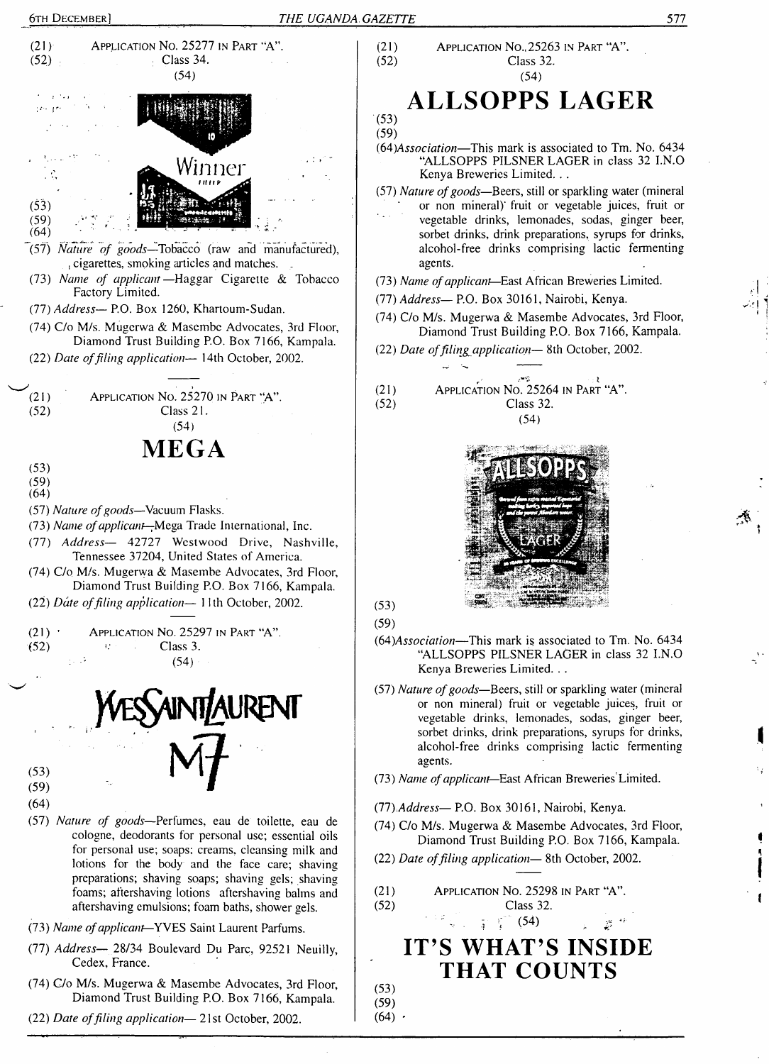



- (74) C/o M/s. Mugerwa & Masembe Advocates, 3rd Floor, Diamond Trust Building P.O. Box 7166, Kampala.
- (22) *Date offiling application—* 21st October, 2002.

### (21) APPLICATION No.,  $25263$  in Part "A".<br>(52) Class 32. Class 32. (54)

# **ALLSOPPS LAGER**

- *((A)Association—*This mark is associated to Tm. No. 6434 "ALLSOPPS PILSNER LAGER in class 32 I.N.O Kenya Breweries Limited. . .
- (57) *Nature ofgoods—*Beers, still or sparkling water (mineral or non mineral) fruit or vegetable juices, fruit or vegetable drinks, lemonades, sodas, ginger beer, sorbet drinks, drink preparations, syrups for drinks, alcohol-free drinks comprising lactic fermenting agents.
- (73) *Name ofapplicant—*East African Breweries Limited.
- (77) *Address—* P.O. Box 30161, Nairobi, Kenya.
- (74) C/o M/s. Mugerwa & Masembe Advocates, 3rd Floor, Diamond Trust Building P.O. Box 7166, Kampala.
- (22) *Date offiling application—* 8th October, 2002.





- (64)Association—This mark is associated to Tm. No. 6434 "ALLSOPPS PILSNER LAGER in class 32 I.N.O Kenya Breweries Limited. . .
- (57) *Nature ofgoods—*Beers, still or sparkling water (mineral or non mineral) fruit or vegetable juices, fruit or vegetable drinks, lemonades, sodas, ginger beer, sorbet drinks, drink preparations, syrups for drinks, alcohol-free drinks comprising lactic fermenting agents.
- (73) *Name ofapplicant—*East African Breweries Limited.
- (77).*Address—* P.O. Box 30161, Nairobi, Kenya.
- (74) C/o M/s. Mugerwa & Masembe Advocates, 3rd Floor, Diamond Trust Building P.O. Box 7166, Kampala.
- (22) *Date offiling application—* <sup>8</sup>th October, 2002.
- (21) APPLICATION No. 25298 IN PART "A".<br>
(52)  $\frac{1}{4} \int_{1}^{6} (54)$ (52) Class 32.

# **IT'S WHAT'S INSIDE THAT COUNTS**

(53) (59)

 $(64)$   $\cdot$